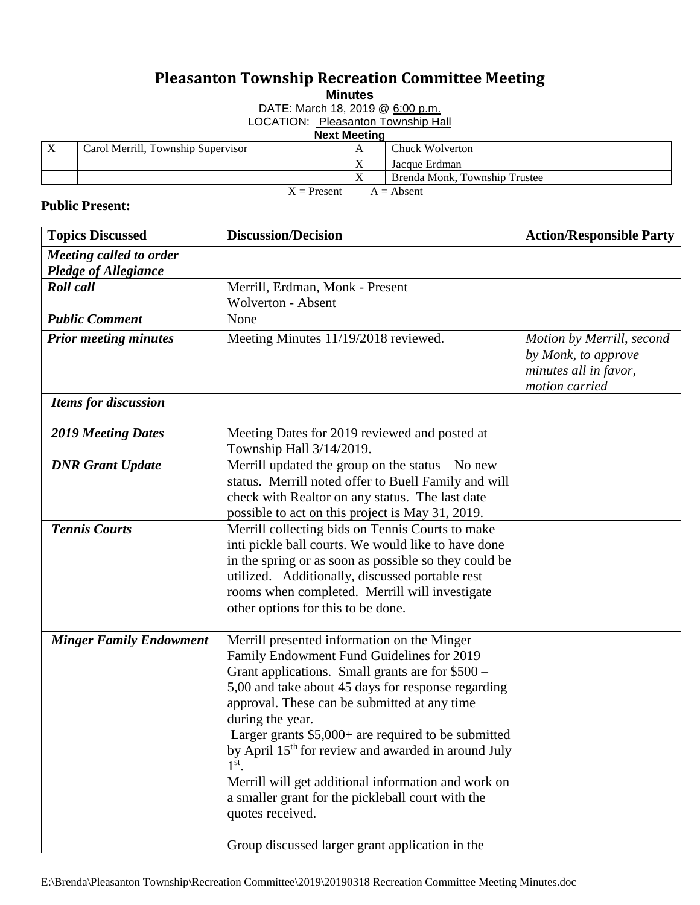## **Pleasanton Township Recreation Committee Meeting**

**Minutes**

DATE: March 18, 2019 @ 6:00 p.m.

LOCATION: Pleasanton Township Hall

## **Next Meeting**

|                               | . |                                    |  |                               |  |  |  |  |
|-------------------------------|---|------------------------------------|--|-------------------------------|--|--|--|--|
|                               | X | Carol Merrill, Township Supervisor |  | Chuck Wolverton               |  |  |  |  |
|                               |   |                                    |  | Jacque Erdman                 |  |  |  |  |
|                               |   |                                    |  | Brenda Monk. Township Trustee |  |  |  |  |
| $X =$ Present<br>$A = Absent$ |   |                                    |  |                               |  |  |  |  |

## **Public Present:**

| <b>Topics Discussed</b>        | <b>Discussion/Decision</b>                                      | <b>Action/Responsible Party</b> |
|--------------------------------|-----------------------------------------------------------------|---------------------------------|
| Meeting called to order        |                                                                 |                                 |
| <b>Pledge of Allegiance</b>    |                                                                 |                                 |
| <b>Roll</b> call               | Merrill, Erdman, Monk - Present                                 |                                 |
|                                | Wolverton - Absent                                              |                                 |
| <b>Public Comment</b>          | None                                                            |                                 |
| <b>Prior meeting minutes</b>   | Meeting Minutes 11/19/2018 reviewed.                            | Motion by Merrill, second       |
|                                |                                                                 | by Monk, to approve             |
|                                |                                                                 | minutes all in favor,           |
|                                |                                                                 | motion carried                  |
| <b>Items for discussion</b>    |                                                                 |                                 |
| <b>2019 Meeting Dates</b>      | Meeting Dates for 2019 reviewed and posted at                   |                                 |
|                                | Township Hall 3/14/2019.                                        |                                 |
| <b>DNR</b> Grant Update        | Merrill updated the group on the status $-$ No new              |                                 |
|                                | status. Merrill noted offer to Buell Family and will            |                                 |
|                                | check with Realtor on any status. The last date                 |                                 |
|                                | possible to act on this project is May 31, 2019.                |                                 |
| <b>Tennis Courts</b>           | Merrill collecting bids on Tennis Courts to make                |                                 |
|                                | inti pickle ball courts. We would like to have done             |                                 |
|                                | in the spring or as soon as possible so they could be           |                                 |
|                                | utilized. Additionally, discussed portable rest                 |                                 |
|                                | rooms when completed. Merrill will investigate                  |                                 |
|                                | other options for this to be done.                              |                                 |
| <b>Minger Family Endowment</b> | Merrill presented information on the Minger                     |                                 |
|                                | Family Endowment Fund Guidelines for 2019                       |                                 |
|                                | Grant applications. Small grants are for $$500 -$               |                                 |
|                                | 5,00 and take about 45 days for response regarding              |                                 |
|                                | approval. These can be submitted at any time                    |                                 |
|                                | during the year.                                                |                                 |
|                                | Larger grants $$5,000+$ are required to be submitted            |                                 |
|                                | by April 15 <sup>th</sup> for review and awarded in around July |                                 |
|                                | $1st$ .                                                         |                                 |
|                                | Merrill will get additional information and work on             |                                 |
|                                | a smaller grant for the pickleball court with the               |                                 |
|                                | quotes received.                                                |                                 |
|                                | Group discussed larger grant application in the                 |                                 |